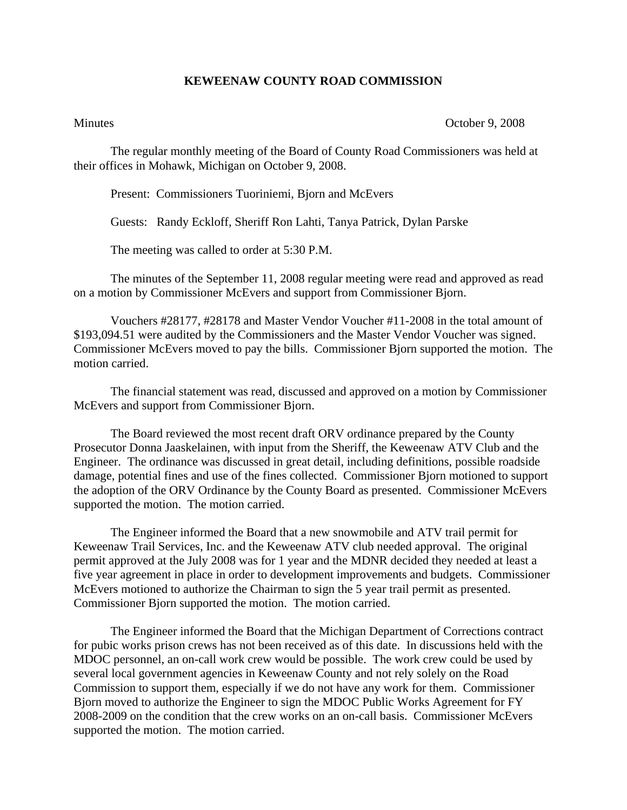## **KEWEENAW COUNTY ROAD COMMISSION**

Minutes October 9, 2008

The regular monthly meeting of the Board of County Road Commissioners was held at their offices in Mohawk, Michigan on October 9, 2008.

Present: Commissioners Tuoriniemi, Bjorn and McEvers

Guests: Randy Eckloff, Sheriff Ron Lahti, Tanya Patrick, Dylan Parske

The meeting was called to order at 5:30 P.M.

 The minutes of the September 11, 2008 regular meeting were read and approved as read on a motion by Commissioner McEvers and support from Commissioner Bjorn.

 Vouchers #28177, #28178 and Master Vendor Voucher #11-2008 in the total amount of \$193,094.51 were audited by the Commissioners and the Master Vendor Voucher was signed. Commissioner McEvers moved to pay the bills. Commissioner Bjorn supported the motion. The motion carried.

 The financial statement was read, discussed and approved on a motion by Commissioner McEvers and support from Commissioner Bjorn.

The Board reviewed the most recent draft ORV ordinance prepared by the County Prosecutor Donna Jaaskelainen, with input from the Sheriff, the Keweenaw ATV Club and the Engineer. The ordinance was discussed in great detail, including definitions, possible roadside damage, potential fines and use of the fines collected. Commissioner Bjorn motioned to support the adoption of the ORV Ordinance by the County Board as presented. Commissioner McEvers supported the motion. The motion carried.

The Engineer informed the Board that a new snowmobile and ATV trail permit for Keweenaw Trail Services, Inc. and the Keweenaw ATV club needed approval. The original permit approved at the July 2008 was for 1 year and the MDNR decided they needed at least a five year agreement in place in order to development improvements and budgets. Commissioner McEvers motioned to authorize the Chairman to sign the 5 year trail permit as presented. Commissioner Bjorn supported the motion. The motion carried.

The Engineer informed the Board that the Michigan Department of Corrections contract for pubic works prison crews has not been received as of this date. In discussions held with the MDOC personnel, an on-call work crew would be possible. The work crew could be used by several local government agencies in Keweenaw County and not rely solely on the Road Commission to support them, especially if we do not have any work for them. Commissioner Bjorn moved to authorize the Engineer to sign the MDOC Public Works Agreement for FY 2008-2009 on the condition that the crew works on an on-call basis. Commissioner McEvers supported the motion. The motion carried.